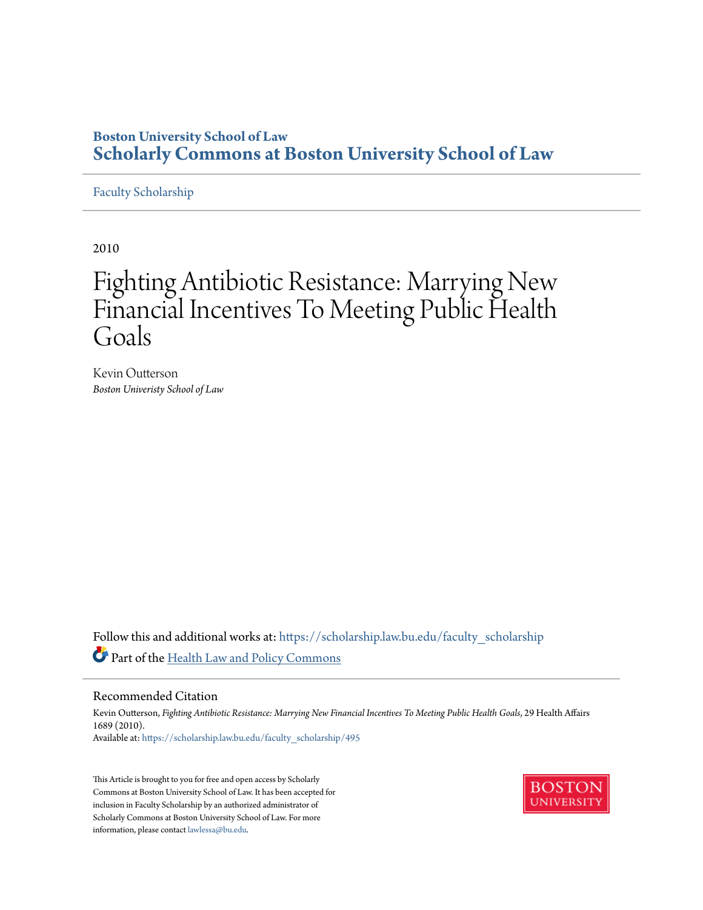## **Boston University School of Law [Scholarly Commons at Boston University School of Law](https://scholarship.law.bu.edu?utm_source=scholarship.law.bu.edu%2Ffaculty_scholarship%2F495&utm_medium=PDF&utm_campaign=PDFCoverPages)**

#### [Faculty Scholarship](https://scholarship.law.bu.edu/faculty_scholarship?utm_source=scholarship.law.bu.edu%2Ffaculty_scholarship%2F495&utm_medium=PDF&utm_campaign=PDFCoverPages)

2010

# Fighting Antibiotic Resistance: Marrying New Financial Incentives To Meeting Public Health Goals

Kevin Outterson *Boston Univeristy School of Law*

Follow this and additional works at: [https://scholarship.law.bu.edu/faculty\\_scholarship](https://scholarship.law.bu.edu/faculty_scholarship?utm_source=scholarship.law.bu.edu%2Ffaculty_scholarship%2F495&utm_medium=PDF&utm_campaign=PDFCoverPages) Part of the [Health Law and Policy Commons](http://network.bepress.com/hgg/discipline/901?utm_source=scholarship.law.bu.edu%2Ffaculty_scholarship%2F495&utm_medium=PDF&utm_campaign=PDFCoverPages)

#### Recommended Citation

Kevin Outterson, *Fighting Antibiotic Resistance: Marrying New Financial Incentives To Meeting Public Health Goals*, 29 Health Affairs 1689 (2010). Available at: [https://scholarship.law.bu.edu/faculty\\_scholarship/495](https://scholarship.law.bu.edu/faculty_scholarship/495?utm_source=scholarship.law.bu.edu%2Ffaculty_scholarship%2F495&utm_medium=PDF&utm_campaign=PDFCoverPages)

This Article is brought to you for free and open access by Scholarly Commons at Boston University School of Law. It has been accepted for inclusion in Faculty Scholarship by an authorized administrator of Scholarly Commons at Boston University School of Law. For more information, please contact [lawlessa@bu.edu.](mailto:lawlessa@bu.edu)

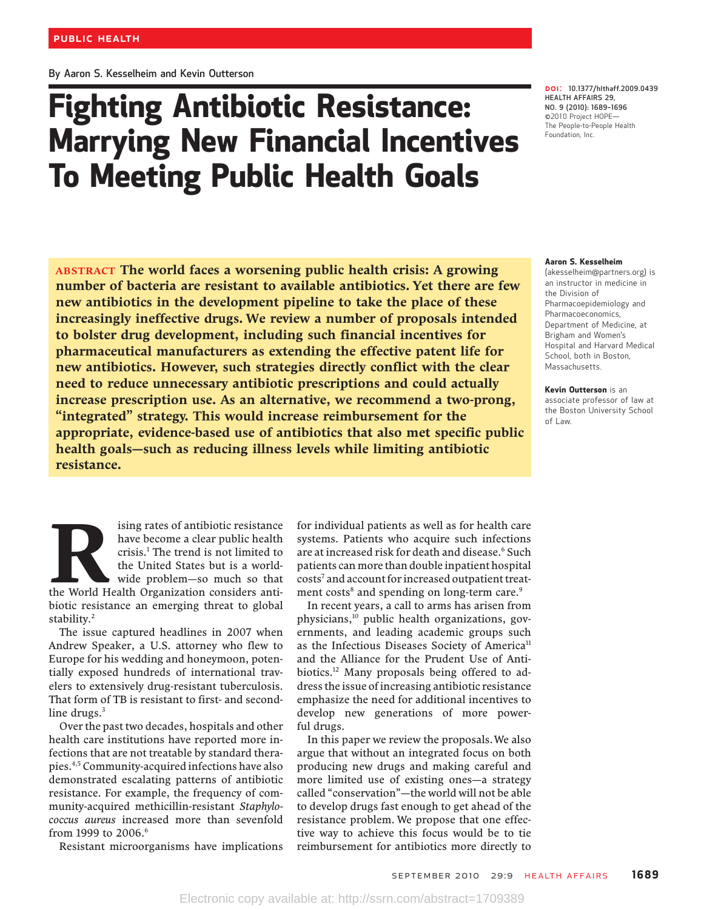By Aaron S. Kesselheim and Kevin Outterson

# Fighting Antibiotic Resistance: Marrying New Financial Incentives To Meeting Public Health Goals

DOI: 10.1377/hlthaff.2009.0439 HEALTH AFFAIRS 29, NO. 9 (2010): 1689*–*<sup>1696</sup> ©2010 Project HOPE— The People-to-People Health Foundation, Inc.

#### Aaron S. Kesselheim

(akesselheim@partners.org) is an instructor in medicine in the Division of Pharmacoepidemiology and Pharmacoeconomics, Department of Medicine, at Brigham and Women'<sup>s</sup> Hospital and Harvard Medical School, both in Boston, Massachusetts.

Kevin Outterson is an associate professor of law at the Boston University School of Law.

ABSTRACT The world faces a worsening public health crisis: A growing number of bacteria are resistant to available antibiotics. Yet there are few new antibiotics in the development pipeline to take the place of these increasingly ineffective drugs. We review a number of proposals intended to bolster drug development, including such financial incentives for pharmaceutical manufacturers as extending the effective patent life for new antibiotics. However, such strategies directly conflict with the clear need to reduce unnecessary antibiotic prescriptions and could actually increase prescription use. As an alternative, we recommend a two-prong, "integrated" strategy. This would increase reimbursement for the appropriate, evidence-based use of antibiotics that also met specific public health goals—such as reducing illness levels while limiting antibiotic resistance.

Ising rates of antibiotic resistance<br>have become a clear public health<br>crisis.<sup>1</sup> The trend is not limited to<br>the United States but is a world-<br>wide problem—so much so that<br>the World Health Organization considers antihave become a clear public health crisis.1 The trend is not limited to the United States but is a worldwide problem—so much so that biotic resistance an emerging threat to global stability.<sup>2</sup>

The issue captured headlines in 2007 when Andrew Speaker, a U.S. attorney who flew to Europe for his wedding and honeymoon, potentially exposed hundreds of international travelers to extensively drug-resistant tuberculosis. That form of TB is resistant to first- and secondline drugs. $3$ 

Over the past two decades, hospitals and other health care institutions have reported more infections that are not treatable by standard therapies.4,5 Community-acquired infections have also demonstrated escalating patterns of antibiotic resistance. For example, the frequency of community-acquired methicillin-resistant Staphylococcus aureus increased more than sevenfold from 1999 to 2006.<sup>6</sup>

Resistant microorganisms have implications

for individual patients as well as for health care systems. Patients who acquire such infections are at increased risk for death and disease.<sup>6</sup> Such patients can more than double inpatient hospital costs7 and account for increased outpatient treatment costs<sup>8</sup> and spending on long-term care.<sup>9</sup>

In recent years, a call to arms has arisen from physicians,10 public health organizations, governments, and leading academic groups such as the Infectious Diseases Society of America<sup>11</sup> and the Alliance for the Prudent Use of Antibiotics.12 Many proposals being offered to address the issue of increasing antibiotic resistance emphasize the need for additional incentives to develop new generations of more powerful drugs.

In this paper we review the proposals.We also argue that without an integrated focus on both producing new drugs and making careful and more limited use of existing ones—a strategy called "conservation"—the world will not be able to develop drugs fast enough to get ahead of the resistance problem. We propose that one effective way to achieve this focus would be to tie reimbursement for antibiotics more directly to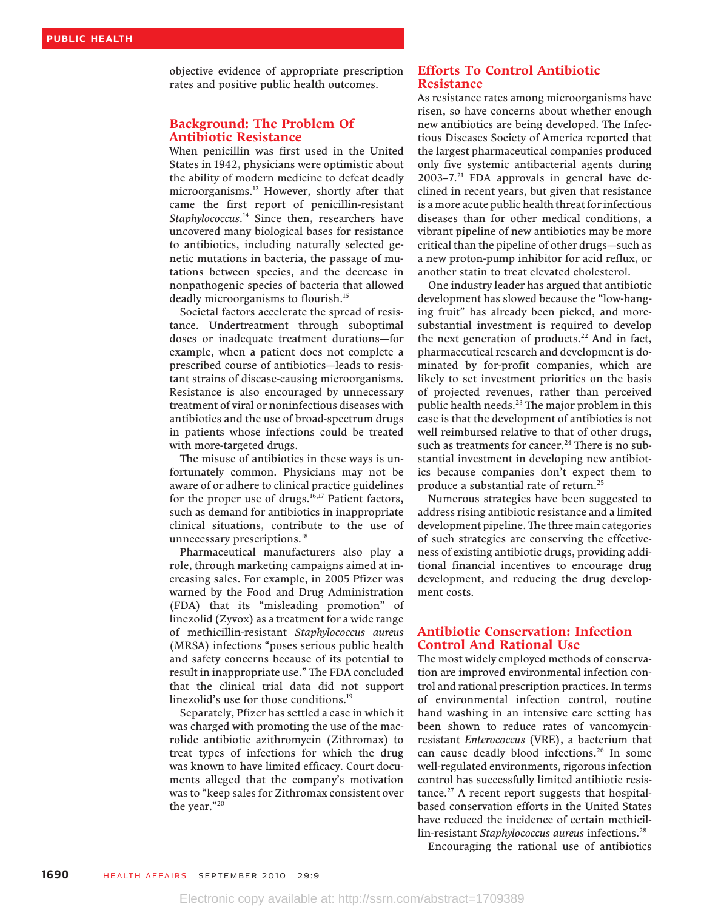objective evidence of appropriate prescription rates and positive public health outcomes.

#### Background: The Problem Of Antibiotic Resistance

When penicillin was first used in the United States in 1942, physicians were optimistic about the ability of modern medicine to defeat deadly microorganisms.13 However, shortly after that came the first report of penicillin-resistant Staphylococcus.<sup>14</sup> Since then, researchers have uncovered many biological bases for resistance to antibiotics, including naturally selected genetic mutations in bacteria, the passage of mutations between species, and the decrease in nonpathogenic species of bacteria that allowed deadly microorganisms to flourish.15

Societal factors accelerate the spread of resistance. Undertreatment through suboptimal doses or inadequate treatment durations—for example, when a patient does not complete a prescribed course of antibiotics—leads to resistant strains of disease-causing microorganisms. Resistance is also encouraged by unnecessary treatment of viral or noninfectious diseases with antibiotics and the use of broad-spectrum drugs in patients whose infections could be treated with more-targeted drugs.

The misuse of antibiotics in these ways is unfortunately common. Physicians may not be aware of or adhere to clinical practice guidelines for the proper use of drugs.<sup>16,17</sup> Patient factors, such as demand for antibiotics in inappropriate clinical situations, contribute to the use of unnecessary prescriptions.<sup>18</sup>

Pharmaceutical manufacturers also play a role, through marketing campaigns aimed at increasing sales. For example, in 2005 Pfizer was warned by the Food and Drug Administration (FDA) that its "misleading promotion" of linezolid (Zyvox) as a treatment for a wide range of methicillin-resistant Staphylococcus aureus (MRSA) infections "poses serious public health and safety concerns because of its potential to result in inappropriate use." The FDA concluded that the clinical trial data did not support linezolid's use for those conditions.<sup>19</sup>

Separately, Pfizer has settled a case in which it was charged with promoting the use of the macrolide antibiotic azithromycin (Zithromax) to treat types of infections for which the drug was known to have limited efficacy. Court documents alleged that the company's motivation was to "keep sales for Zithromax consistent over the year."<sup>20</sup>

#### Efforts To Control Antibiotic Resistance

As resistance rates among microorganisms have risen, so have concerns about whether enough new antibiotics are being developed. The Infectious Diseases Society of America reported that the largest pharmaceutical companies produced only five systemic antibacterial agents during  $2003-7.^{21}$  FDA approvals in general have declined in recent years, but given that resistance is a more acute public health threat for infectious diseases than for other medical conditions, a vibrant pipeline of new antibiotics may be more critical than the pipeline of other drugs—such as a new proton-pump inhibitor for acid reflux, or another statin to treat elevated cholesterol.

One industry leader has argued that antibiotic development has slowed because the "low-hanging fruit" has already been picked, and moresubstantial investment is required to develop the next generation of products.<sup>22</sup> And in fact, pharmaceutical research and development is dominated by for-profit companies, which are likely to set investment priorities on the basis of projected revenues, rather than perceived public health needs.<sup>23</sup> The major problem in this case is that the development of antibiotics is not well reimbursed relative to that of other drugs, such as treatments for cancer.<sup>24</sup> There is no substantial investment in developing new antibiotics because companies don't expect them to produce a substantial rate of return.<sup>25</sup>

Numerous strategies have been suggested to address rising antibiotic resistance and a limited development pipeline. The three main categories of such strategies are conserving the effectiveness of existing antibiotic drugs, providing additional financial incentives to encourage drug development, and reducing the drug development costs.

#### Antibiotic Conservation: Infection Control And Rational Use

The most widely employed methods of conservation are improved environmental infection control and rational prescription practices. In terms of environmental infection control, routine hand washing in an intensive care setting has been shown to reduce rates of vancomycinresistant Enterococcus (VRE), a bacterium that can cause deadly blood infections.<sup>26</sup> In some well-regulated environments, rigorous infection control has successfully limited antibiotic resistance. $27$  A recent report suggests that hospitalbased conservation efforts in the United States have reduced the incidence of certain methicillin-resistant Staphylococcus aureus infections.<sup>28</sup>

Encouraging the rational use of antibiotics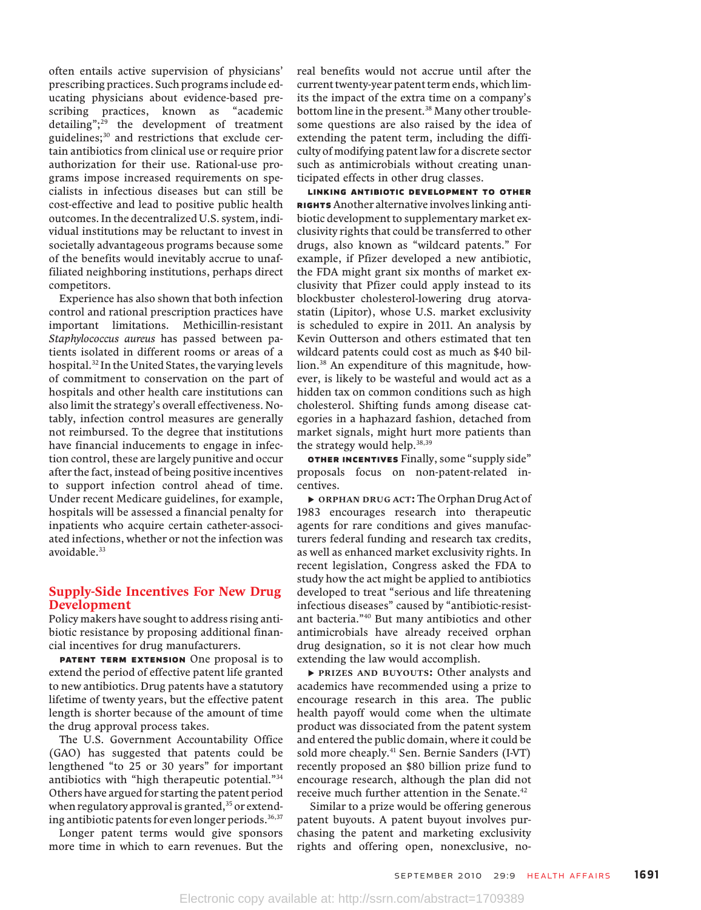often entails active supervision of physicians' prescribing practices. Such programs include educating physicians about evidence-based prescribing practices, known as "academic detailing"; <sup>29</sup> the development of treatment guidelines;<sup>30</sup> and restrictions that exclude certain antibiotics from clinical use or require prior authorization for their use. Rational-use programs impose increased requirements on specialists in infectious diseases but can still be cost-effective and lead to positive public health outcomes. In the decentralized U.S. system, individual institutions may be reluctant to invest in societally advantageous programs because some of the benefits would inevitably accrue to unaffiliated neighboring institutions, perhaps direct competitors.

Experience has also shown that both infection control and rational prescription practices have important limitations. Methicillin-resistant Staphylococcus aureus has passed between patients isolated in different rooms or areas of a hospital.<sup>32</sup> In the United States, the varying levels of commitment to conservation on the part of hospitals and other health care institutions can also limit the strategy's overall effectiveness. Notably, infection control measures are generally not reimbursed. To the degree that institutions have financial inducements to engage in infection control, these are largely punitive and occur after the fact, instead of being positive incentives to support infection control ahead of time. Under recent Medicare guidelines, for example, hospitals will be assessed a financial penalty for inpatients who acquire certain catheter-associated infections, whether or not the infection was avoidable.<sup>33</sup>

#### Supply-Side Incentives For New Drug Development

Policy makers have sought to address rising antibiotic resistance by proposing additional financial incentives for drug manufacturers.

PATENT TERM EXTENSION One proposal is to extend the period of effective patent life granted to new antibiotics. Drug patents have a statutory lifetime of twenty years, but the effective patent length is shorter because of the amount of time the drug approval process takes.

The U.S. Government Accountability Office (GAO) has suggested that patents could be lengthened "to 25 or 30 years" for important antibiotics with "high therapeutic potential."<sup>34</sup> Others have argued for starting the patent period when regulatory approval is granted, $35$  or extending antibiotic patents for even longer periods.<sup>36,37</sup>

Longer patent terms would give sponsors more time in which to earn revenues. But the real benefits would not accrue until after the current twenty-year patent term ends, which limits the impact of the extra time on a company's bottom line in the present.<sup>38</sup> Many other troublesome questions are also raised by the idea of extending the patent term, including the difficulty of modifying patent law for a discrete sector such as antimicrobials without creating unanticipated effects in other drug classes.

LINKING ANTIBIOTIC DEVELOPMENT TO OTHER RIGHTS Another alternative involves linking anti-<br>hiotic development to supplementary market exbiotic development to supplementary market exclusivity rights that could be transferred to other drugs, also known as "wildcard patents." For example, if Pfizer developed a new antibiotic, the FDA might grant six months of market exclusivity that Pfizer could apply instead to its blockbuster cholesterol-lowering drug atorvastatin (Lipitor), whose U.S. market exclusivity is scheduled to expire in 2011. An analysis by Kevin Outterson and others estimated that ten wildcard patents could cost as much as \$40 billion.38 An expenditure of this magnitude, however, is likely to be wasteful and would act as a hidden tax on common conditions such as high cholesterol. Shifting funds among disease categories in a haphazard fashion, detached from market signals, might hurt more patients than the strategy would help. $38,39$ 

**OTHER INCENTIVES** Finally, some "supply side" proposals focus on non-patent-related incentives.

▸ ORPHAN DRUG ACT: The Orphan Drug Act of 1983 encourages research into therapeutic agents for rare conditions and gives manufacturers federal funding and research tax credits, as well as enhanced market exclusivity rights. In recent legislation, Congress asked the FDA to study how the act might be applied to antibiotics developed to treat "serious and life threatening infectious diseases" caused by "antibiotic-resistant bacteria."<sup>40</sup> But many antibiotics and other antimicrobials have already received orphan drug designation, so it is not clear how much extending the law would accomplish.

▸ PRIZES AND BUYOUTS: Other analysts and academics have recommended using a prize to encourage research in this area. The public health payoff would come when the ultimate product was dissociated from the patent system and entered the public domain, where it could be sold more cheaply.<sup>41</sup> Sen. Bernie Sanders (I-VT) recently proposed an \$80 billion prize fund to encourage research, although the plan did not receive much further attention in the Senate.<sup>42</sup>

Similar to a prize would be offering generous patent buyouts. A patent buyout involves purchasing the patent and marketing exclusivity rights and offering open, nonexclusive, no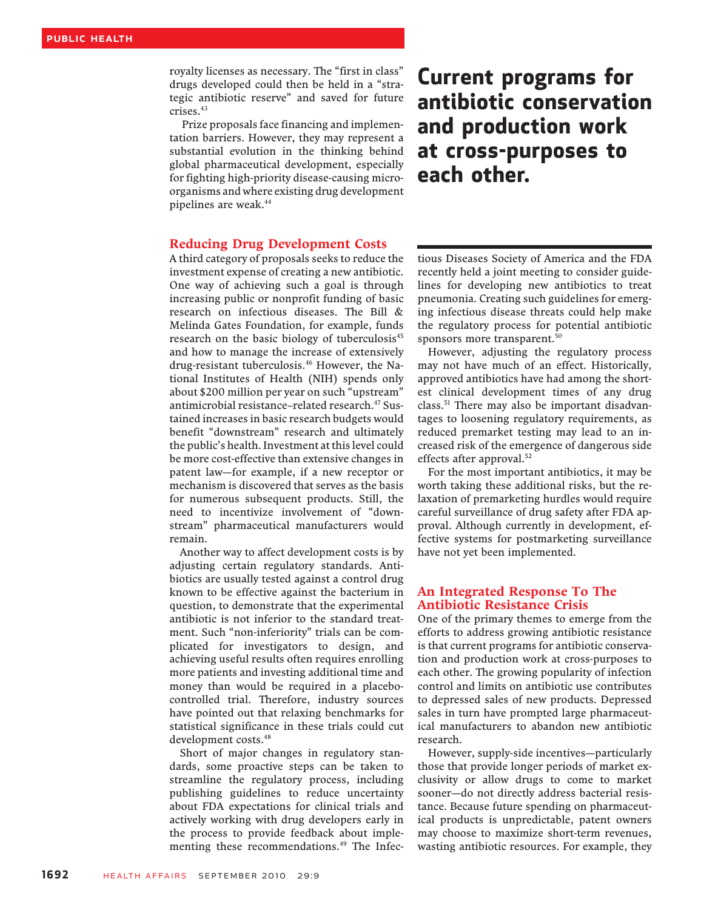royalty licenses as necessary. The "first in class" drugs developed could then be held in a "strategic antibiotic reserve" and saved for future crises.<sup>43</sup>

Prize proposals face financing and implementation barriers. However, they may represent a substantial evolution in the thinking behind global pharmaceutical development, especially for fighting high-priority disease-causing microorganisms and where existing drug development pipelines are weak.<sup>44</sup>

#### Reducing Drug Development Costs

A third category of proposals seeks to reduce the investment expense of creating a new antibiotic. One way of achieving such a goal is through increasing public or nonprofit funding of basic research on infectious diseases. The Bill & Melinda Gates Foundation, for example, funds research on the basic biology of tuberculosis<sup>45</sup> and how to manage the increase of extensively drug-resistant tuberculosis.46 However, the National Institutes of Health (NIH) spends only about \$200 million per year on such "upstream" antimicrobial resistance-related research.<sup>47</sup> Sustained increases in basic research budgets would benefit "downstream" research and ultimately the public's health. Investment at this level could be more cost-effective than extensive changes in patent law—for example, if a new receptor or mechanism is discovered that serves as the basis for numerous subsequent products. Still, the need to incentivize involvement of "downstream" pharmaceutical manufacturers would remain.

Another way to affect development costs is by adjusting certain regulatory standards. Antibiotics are usually tested against a control drug known to be effective against the bacterium in question, to demonstrate that the experimental antibiotic is not inferior to the standard treatment. Such "non-inferiority" trials can be complicated for investigators to design, and achieving useful results often requires enrolling more patients and investing additional time and money than would be required in a placebocontrolled trial. Therefore, industry sources have pointed out that relaxing benchmarks for statistical significance in these trials could cut development costs.<sup>48</sup>

Short of major changes in regulatory standards, some proactive steps can be taken to streamline the regulatory process, including publishing guidelines to reduce uncertainty about FDA expectations for clinical trials and actively working with drug developers early in the process to provide feedback about implementing these recommendations.<sup>49</sup> The Infec-

## Current programs for antibiotic conservation and production work at cross-purposes to each other.

tious Diseases Society of America and the FDA recently held a joint meeting to consider guidelines for developing new antibiotics to treat pneumonia. Creating such guidelines for emerging infectious disease threats could help make the regulatory process for potential antibiotic sponsors more transparent.<sup>50</sup>

However, adjusting the regulatory process may not have much of an effect. Historically, approved antibiotics have had among the shortest clinical development times of any drug class.<sup>51</sup> There may also be important disadvantages to loosening regulatory requirements, as reduced premarket testing may lead to an increased risk of the emergence of dangerous side effects after approval.<sup>52</sup>

For the most important antibiotics, it may be worth taking these additional risks, but the relaxation of premarketing hurdles would require careful surveillance of drug safety after FDA approval. Although currently in development, effective systems for postmarketing surveillance have not yet been implemented.

#### An Integrated Response To The Antibiotic Resistance Crisis

One of the primary themes to emerge from the efforts to address growing antibiotic resistance is that current programs for antibiotic conservation and production work at cross-purposes to each other. The growing popularity of infection control and limits on antibiotic use contributes to depressed sales of new products. Depressed sales in turn have prompted large pharmaceutical manufacturers to abandon new antibiotic research.

However, supply-side incentives—particularly those that provide longer periods of market exclusivity or allow drugs to come to market sooner—do not directly address bacterial resistance. Because future spending on pharmaceutical products is unpredictable, patent owners may choose to maximize short-term revenues, wasting antibiotic resources. For example, they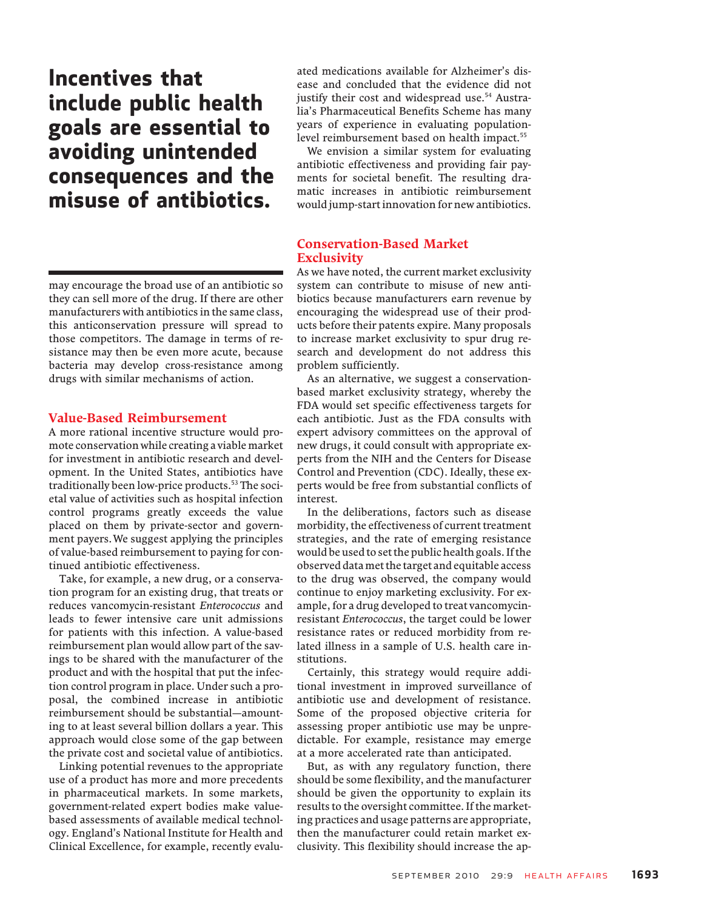Incentives that include public health goals are essential to avoiding unintended consequences and the misuse of antibiotics.

may encourage the broad use of an antibiotic so they can sell more of the drug. If there are other manufacturers with antibiotics in the same class, this anticonservation pressure will spread to those competitors. The damage in terms of resistance may then be even more acute, because bacteria may develop cross-resistance among drugs with similar mechanisms of action.

#### Value-Based Reimbursement

A more rational incentive structure would promote conservation while creating a viable market for investment in antibiotic research and development. In the United States, antibiotics have traditionally been low-price products.<sup>53</sup> The societal value of activities such as hospital infection control programs greatly exceeds the value placed on them by private-sector and government payers.We suggest applying the principles of value-based reimbursement to paying for continued antibiotic effectiveness.

Take, for example, a new drug, or a conservation program for an existing drug, that treats or reduces vancomycin-resistant Enterococcus and leads to fewer intensive care unit admissions for patients with this infection. A value-based reimbursement plan would allow part of the savings to be shared with the manufacturer of the product and with the hospital that put the infection control program in place. Under such a proposal, the combined increase in antibiotic reimbursement should be substantial—amounting to at least several billion dollars a year. This approach would close some of the gap between the private cost and societal value of antibiotics.

Linking potential revenues to the appropriate use of a product has more and more precedents in pharmaceutical markets. In some markets, government-related expert bodies make valuebased assessments of available medical technology. England's National Institute for Health and Clinical Excellence, for example, recently evaluated medications available for Alzheimer's disease and concluded that the evidence did not justify their cost and widespread use.<sup>54</sup> Australia's Pharmaceutical Benefits Scheme has many years of experience in evaluating populationlevel reimbursement based on health impact.<sup>55</sup>

We envision a similar system for evaluating antibiotic effectiveness and providing fair payments for societal benefit. The resulting dramatic increases in antibiotic reimbursement would jump-start innovation for new antibiotics.

#### Conservation-Based Market **Exclusivity**

As we have noted, the current market exclusivity system can contribute to misuse of new antibiotics because manufacturers earn revenue by encouraging the widespread use of their products before their patents expire. Many proposals to increase market exclusivity to spur drug research and development do not address this problem sufficiently.

As an alternative, we suggest a conservationbased market exclusivity strategy, whereby the FDA would set specific effectiveness targets for each antibiotic. Just as the FDA consults with expert advisory committees on the approval of new drugs, it could consult with appropriate experts from the NIH and the Centers for Disease Control and Prevention (CDC). Ideally, these experts would be free from substantial conflicts of interest.

In the deliberations, factors such as disease morbidity, the effectiveness of current treatment strategies, and the rate of emerging resistance would be used to set the public health goals. If the observed data met the target and equitable access to the drug was observed, the company would continue to enjoy marketing exclusivity. For example, for a drug developed to treat vancomycinresistant Enterococcus, the target could be lower resistance rates or reduced morbidity from related illness in a sample of U.S. health care institutions.

Certainly, this strategy would require additional investment in improved surveillance of antibiotic use and development of resistance. Some of the proposed objective criteria for assessing proper antibiotic use may be unpredictable. For example, resistance may emerge at a more accelerated rate than anticipated.

But, as with any regulatory function, there should be some flexibility, and the manufacturer should be given the opportunity to explain its results to the oversight committee. If the marketing practices and usage patterns are appropriate, then the manufacturer could retain market exclusivity. This flexibility should increase the ap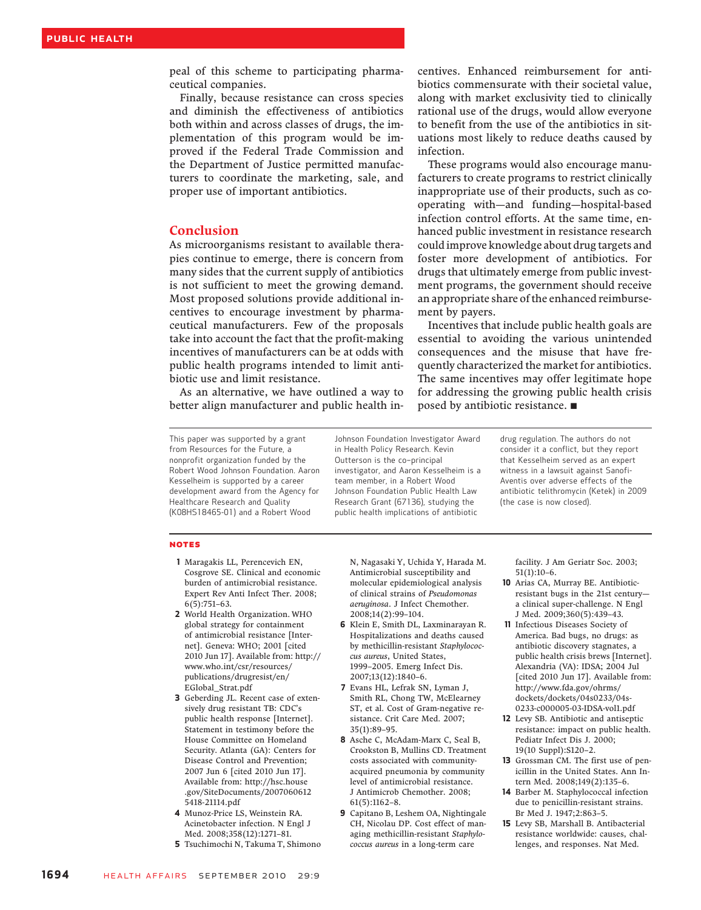peal of this scheme to participating pharmaceutical companies.

Finally, because resistance can cross species and diminish the effectiveness of antibiotics both within and across classes of drugs, the implementation of this program would be improved if the Federal Trade Commission and the Department of Justice permitted manufacturers to coordinate the marketing, sale, and proper use of important antibiotics.

#### Conclusion

As microorganisms resistant to available therapies continue to emerge, there is concern from many sides that the current supply of antibiotics is not sufficient to meet the growing demand. Most proposed solutions provide additional incentives to encourage investment by pharmaceutical manufacturers. Few of the proposals take into account the fact that the profit-making incentives of manufacturers can be at odds with public health programs intended to limit antibiotic use and limit resistance.

As an alternative, we have outlined a way to better align manufacturer and public health in-

centives. Enhanced reimbursement for antibiotics commensurate with their societal value, along with market exclusivity tied to clinically rational use of the drugs, would allow everyone to benefit from the use of the antibiotics in situations most likely to reduce deaths caused by infection.

These programs would also encourage manufacturers to create programs to restrict clinically inappropriate use of their products, such as cooperating with—and funding—hospital-based infection control efforts. At the same time, enhanced public investment in resistance research could improve knowledge about drug targets and foster more development of antibiotics. For drugs that ultimately emerge from public investment programs, the government should receive an appropriate share of the enhanced reimbursement by payers.

Incentives that include public health goals are essential to avoiding the various unintended consequences and the misuse that have frequently characterized the market for antibiotics. The same incentives may offer legitimate hope for addressing the growing public health crisis posed by antibiotic resistance. ■

This paper was supported by a grant from Resources for the Future, a nonprofit organization funded by the Robert Wood Johnson Foundation. Aaron Kesselheim is supported by a career development award from the Agency for Healthcare Research and Quality (K08HS18465-01) and a Robert Wood

Johnson Foundation Investigator Award in Health Policy Research. Kevin Outterson is the co–principal investigator, and Aaron Kesselheim is a team member, in a Robert Wood Johnson Foundation Public Health Law Research Grant (67136), studying the public health implications of antibiotic

drug regulation. The authors do not consider it a conflict, but they report that Kesselheim served as an expert witness in a lawsuit against Sanofi-Aventis over adverse effects of the antibiotic telithromycin (Ketek) in 2009 (the case is now closed).

#### **NOTES**

- 1 Maragakis LL, Perencevich EN, Cosgrove SE. Clinical and economic burden of antimicrobial resistance. Expert Rev Anti Infect Ther. 2008; 6(5):751–63.
- 2 World Health Organization. WHO global strategy for containment of antimicrobial resistance [Internet]. Geneva: WHO; 2001 [cited 2010 Jun 17]. Available from: http:// www.who.int/csr/resources/ publications/drugresist/en/ EGlobal\_Strat.pdf
- 3 Geberding JL. Recent case of extensively drug resistant TB: CDC's public health response [Internet]. Statement in testimony before the House Committee on Homeland Security. Atlanta (GA): Centers for Disease Control and Prevention; 2007 Jun 6 [cited 2010 Jun 17]. Available from: http://hsc.house .gov/SiteDocuments/2007060612 5418-21114.pdf
- 4 Munoz-Price LS, Weinstein RA. Acinetobacter infection. N Engl J Med. 2008;358(12):1271–81.
- 5 Tsuchimochi N, Takuma T, Shimono

N, Nagasaki Y, Uchida Y, Harada M. Antimicrobial susceptibility and molecular epidemiological analysis of clinical strains of Pseudomonas aeruginosa. J Infect Chemother. 2008;14(2):99–104.

- 6 Klein E, Smith DL, Laxminarayan R. Hospitalizations and deaths caused by methicillin-resistant Staphylococcus aureus, United States, 1999–2005. Emerg Infect Dis. 2007;13(12):1840–6.
- 7 Evans HL, Lefrak SN, Lyman J, Smith RL, Chong TW, McElearney ST, et al. Cost of Gram-negative resistance. Crit Care Med. 2007; 35(1):89–95.
- 8 Asche C, McAdam-Marx C, Seal B, Crookston B, Mullins CD. Treatment costs associated with communityacquired pneumonia by community level of antimicrobial resistance. J Antimicrob Chemother. 2008; 61(5):1162–8.
- 9 Capitano B, Leshem OA, Nightingale CH, Nicolau DP. Cost effect of managing methicillin-resistant Staphylococcus aureus in a long-term care

facility. J Am Geriatr Soc. 2003; 51(1):10–6.

- 10 Arias CA, Murray BE. Antibioticresistant bugs in the 21st century a clinical super-challenge. N Engl J Med. 2009;360(5):439–43.
- 11 Infectious Diseases Society of America. Bad bugs, no drugs: as antibiotic discovery stagnates, a public health crisis brews [Internet]. Alexandria (VA): IDSA; 2004 Jul [cited 2010 Jun 17]. Available from: http://www.fda.gov/ohrms/ dockets/dockets/04s0233/04s-0233-c000005-03-IDSA-vol1.pdf
- 12 Levy SB. Antibiotic and antiseptic resistance: impact on public health. Pediatr Infect Dis J. 2000; 19(10 Suppl):S120–2.
- 13 Grossman CM. The first use of penicillin in the United States. Ann Intern Med. 2008;149(2):135–6.
- 14 Barber M. Staphylococcal infection due to penicillin-resistant strains. Br Med J. 1947;2:863–5.
- 15 Levy SB, Marshall B. Antibacterial resistance worldwide: causes, challenges, and responses. Nat Med.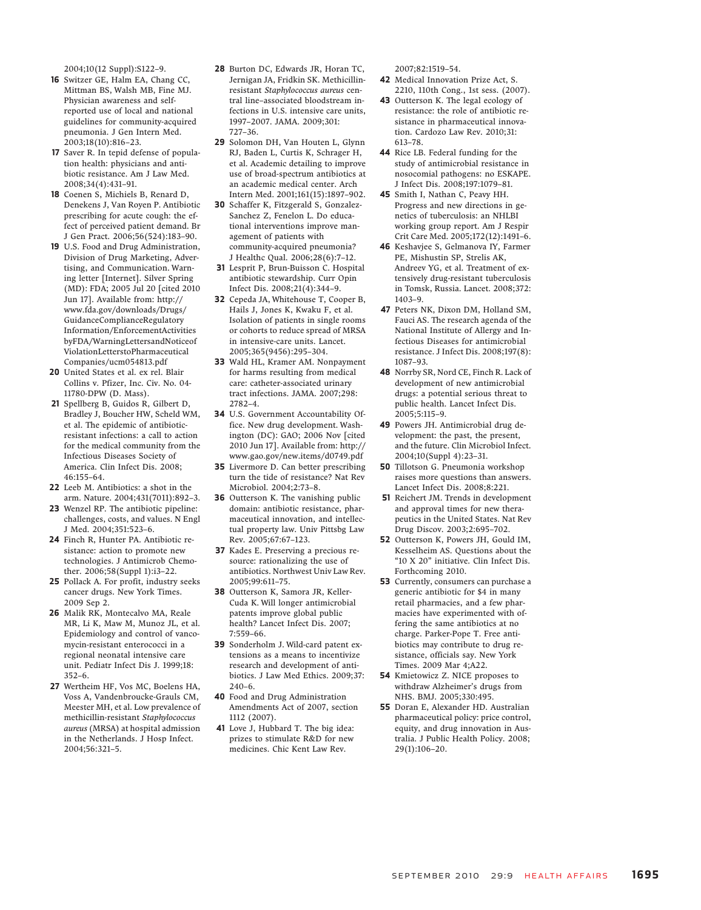2004;10(12 Suppl):S122–9.

- 16 Switzer GE, Halm EA, Chang CC, Mittman BS, Walsh MB, Fine MJ. Physician awareness and selfreported use of local and national guidelines for community-acquired pneumonia. J Gen Intern Med. 2003;18(10):816–23.
- 17 Saver R. In tepid defense of population health: physicians and antibiotic resistance. Am J Law Med. 2008;34(4):431–91.
- 18 Coenen S, Michiels B, Renard D, Denekens J, Van Royen P. Antibiotic prescribing for acute cough: the effect of perceived patient demand. Br J Gen Pract. 2006;56(524):183–90.
- 19 U.S. Food and Drug Administration, Division of Drug Marketing, Advertising, and Communication. Warning letter [Internet]. Silver Spring (MD): FDA; 2005 Jul 20 [cited 2010 Jun 17]. Available from: http:// www.fda.gov/downloads/Drugs/ GuidanceComplianceRegulatory Information/EnforcementActivities byFDA/WarningLettersandNoticeof ViolationLetterstoPharmaceutical Companies/ucm054813.pdf
- 20 United States et al. ex rel. Blair Collins v. Pfizer, Inc. Civ. No. 04- 11780-DPW (D. Mass).
- 21 Spellberg B, Guidos R, Gilbert D, Bradley J, Boucher HW, Scheld WM, et al. The epidemic of antibioticresistant infections: a call to action for the medical community from the Infectious Diseases Society of America. Clin Infect Dis. 2008; 46:155–64.
- 22 Leeb M. Antibiotics: a shot in the arm. Nature. 2004;431(7011):892–3.
- 23 Wenzel RP. The antibiotic pipeline: challenges, costs, and values. N Engl J Med. 2004;351:523–6.
- 24 Finch R, Hunter PA. Antibiotic resistance: action to promote new technologies. J Antimicrob Chemother. 2006;58(Suppl 1):i3–22.
- 25 Pollack A. For profit, industry seeks cancer drugs. New York Times. 2009 Sep 2.
- 26 Malik RK, Montecalvo MA, Reale MR, Li K, Maw M, Munoz JL, et al. Epidemiology and control of vancomycin-resistant enterococci in a regional neonatal intensive care unit. Pediatr Infect Dis J. 1999;18: 352–6.
- 27 Wertheim HF, Vos MC, Boelens HA, Voss A, Vandenbroucke-Grauls CM, Meester MH, et al. Low prevalence of methicillin-resistant Staphylococcus aureus (MRSA) at hospital admission in the Netherlands. J Hosp Infect. 2004;56:321–5.
- 28 Burton DC, Edwards JR, Horan TC, Jernigan JA, Fridkin SK. Methicillinresistant Staphylococcus aureus central line–associated bloodstream infections in U.S. intensive care units, 1997–2007. JAMA. 2009;301: 727–36.
- 29 Solomon DH, Van Houten L, Glynn RJ, Baden L, Curtis K, Schrager H, et al. Academic detailing to improve use of broad-spectrum antibiotics at an academic medical center. Arch Intern Med. 2001;161(15):1897–902.
- 30 Schaffer K, Fitzgerald S, Gonzalez-Sanchez Z, Fenelon L. Do educational interventions improve management of patients with community-acquired pneumonia? J Healthc Qual. 2006;28(6):7–12.
- 31 Lesprit P, Brun-Buisson C. Hospital antibiotic stewardship. Curr Opin Infect Dis. 2008;21(4):344–9.
- 32 Cepeda JA, Whitehouse T, Cooper B, Hails J, Jones K, Kwaku F, et al. Isolation of patients in single rooms or cohorts to reduce spread of MRSA in intensive-care units. Lancet. 2005;365(9456):295–304.
- 33 Wald HL, Kramer AM. Nonpayment for harms resulting from medical care: catheter-associated urinary tract infections. JAMA. 2007;298: 2782–4.
- 34 U.S. Government Accountability Office. New drug development. Washington (DC): GAO; 2006 Nov [cited 2010 Jun 17]. Available from: http:// www.gao.gov/new.items/d0749.pdf
- 35 Livermore D. Can better prescribing turn the tide of resistance? Nat Rev Microbiol. 2004;2:73–8.
- 36 Outterson K. The vanishing public domain: antibiotic resistance, pharmaceutical innovation, and intellectual property law. Univ Pittsbg Law Rev. 2005;67:67–123.
- 37 Kades E. Preserving a precious resource: rationalizing the use of antibiotics. Northwest Univ Law Rev. 2005;99:611–75.
- 38 Outterson K, Samora JR, Keller-Cuda K. Will longer antimicrobial patents improve global public health? Lancet Infect Dis. 2007; 7:559–66.
- 39 Sonderholm J. Wild-card patent extensions as a means to incentivize research and development of antibiotics. J Law Med Ethics. 2009;37: 240–6.
- 40 Food and Drug Administration Amendments Act of 2007, section 1112 (2007).
- 41 Love J, Hubbard T. The big idea: prizes to stimulate R&D for new medicines. Chic Kent Law Rev.

2007;82:1519–54.

- 42 Medical Innovation Prize Act, S. 2210, 110th Cong., 1st sess. (2007).
- 43 Outterson K. The legal ecology of resistance: the role of antibiotic resistance in pharmaceutical innovation. Cardozo Law Rev. 2010;31: 613–78.
- 44 Rice LB. Federal funding for the study of antimicrobial resistance in nosocomial pathogens: no ESKAPE. J Infect Dis. 2008;197:1079–81.
- 45 Smith I, Nathan C, Peavy HH. Progress and new directions in genetics of tuberculosis: an NHLBI working group report. Am J Respir Crit Care Med. 2005;172(12):1491–6.
- 46 Keshavjee S, Gelmanova IY, Farmer PE, Mishustin SP, Strelis AK, Andreev YG, et al. Treatment of extensively drug-resistant tuberculosis in Tomsk, Russia. Lancet. 2008;372: 1403–9.
- 47 Peters NK, Dixon DM, Holland SM, Fauci AS. The research agenda of the National Institute of Allergy and Infectious Diseases for antimicrobial resistance. J Infect Dis. 2008;197(8): 1087–93.
- 48 Norrby SR, Nord CE, Finch R. Lack of development of new antimicrobial drugs: a potential serious threat to public health. Lancet Infect Dis. 2005;5:115–9.
- 49 Powers JH. Antimicrobial drug development: the past, the present, and the future. Clin Microbiol Infect. 2004;10(Suppl 4):23–31.
- 50 Tillotson G. Pneumonia workshop raises more questions than answers. Lancet Infect Dis. 2008;8:221.
- 51 Reichert JM. Trends in development and approval times for new therapeutics in the United States. Nat Rev Drug Discov. 2003;2:695–702.
- 52 Outterson K, Powers JH, Gould IM, Kesselheim AS. Questions about the "10 X 20" initiative. Clin Infect Dis. Forthcoming 2010.
- 53 Currently, consumers can purchase a generic antibiotic for \$4 in many retail pharmacies, and a few pharmacies have experimented with offering the same antibiotics at no charge. Parker-Pope T. Free antibiotics may contribute to drug resistance, officials say. New York Times. 2009 Mar 4;A22.
- 54 Kmietowicz Z. NICE proposes to withdraw Alzheimer's drugs from NHS. BMJ. 2005;330:495.
- 55 Doran E, Alexander HD. Australian pharmaceutical policy: price control, equity, and drug innovation in Australia. J Public Health Policy. 2008; 29(1):106–20.